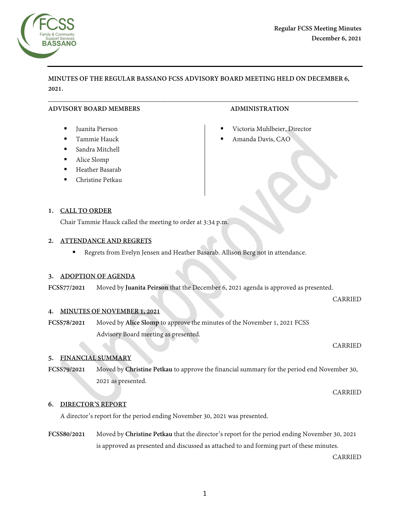

# **MINUTES OF THE REGULAR BASSANO FCSS ADVISORY BOARD MEETING HELD ON DECEMBER 6, 2021.**

 $\overline{\phantom{a}}$  , and the contribution of the contribution of the contribution of the contribution of the contribution of the contribution of the contribution of the contribution of the contribution of the contribution of the

## **ADVISORY BOARD MEMBERS ADMINISTRATION**

- Juanita Pierson
- Tammie Hauck
- Sandra Mitchell
- Alice Slomp
- Heather Basarab
- Christine Petkau

- Victoria Muhlbeier, Director
- Amanda Davis, CAO

## **1. CALL TO ORDER**

Chair Tammie Hauck called the meeting to order at 3:34 p.m.

## **2. ATTENDANCE AND REGRETS**

Regrets from Evelyn Jensen and Heather Basarab. Allison Berg not in attendance.

## **3. ADOPTION OF AGENDA**

**FCSS77/2021** Moved by **Juanita Peirson** that the December 6, 2021 agenda is approved as presented.

# **4. MINUTES OF NOVEMBER 1, 2021**

**FCSS78/2021** Moved by **Alice Slomp** to approve the minutes of the November 1, 2021 FCSS Advisory Board meeting as presented.

#### CARRIED

CARRIED

## **5. FINANCIAL SUMMARY**

**FCSS79/2021** Moved by **Christine Petkau** to approve the financial summary for the period end November 30, 2021 as presented.

CARRIED

## **6. DIRECTOR'S REPORT**

A director's report for the period ending November 30, 2021 was presented.

**FCSS80/2021** Moved by **Christine Petkau** that the director's report for the period ending November 30, 2021 is approved as presented and discussed as attached to and forming part of these minutes.

CARRIED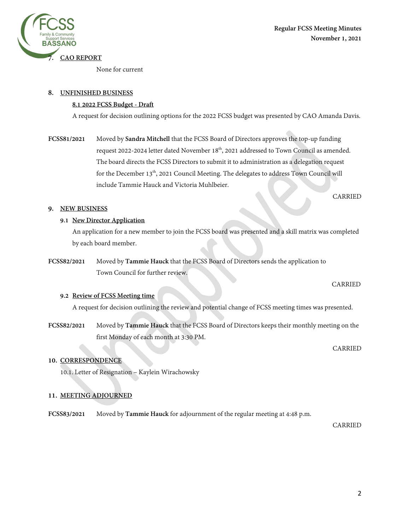

None for current

## **8. UNFINISHED BUSINESS**

## **8.1 2022 FCSS Budget - Draft**

A request for decision outlining options for the 2022 FCSS budget was presented by CAO Amanda Davis.

**FCSS81/2021** Moved by **Sandra Mitchell** that the FCSS Board of Directors approves the top-up funding request 2022-2024 letter dated November  $18<sup>th</sup>$ , 2021 addressed to Town Council as amended. The board directs the FCSS Directors to submit it to administration as a delegation request for the December  $13<sup>th</sup>$ , 2021 Council Meeting. The delegates to address Town Council will include Tammie Hauck and Victoria Muhlbeier.

CARRIED

**Regular FCSS Meeting Minutes** 

**November 1, 2021** 

## **9. NEW BUSINESS**

## **9.1 New Director Application**

An application for a new member to join the FCSS board was presented and a skill matrix was completed by each board member.

**FCSS82/2021** Moved by **Tammie Hauck** that the FCSS Board of Directors sends the application to Town Council for further review.

## **9.2 Review of FCSS Meeting time**

A request for decision outlining the review and potential change of FCSS meeting times was presented.

**FCSS82/2021** Moved by **Tammie Hauck** that the FCSS Board of Directors keeps their monthly meeting on the first Monday of each month at 3:30 PM.

**10. CORRESPONDENCE** 

10.1. Letter of Resignation – Kaylein Wirachowsky

# **11. MEETING ADJOURNED**

**FCSS83/2021** Moved by **Tammie Hauck** for adjournment of the regular meeting at 4:48 p.m.

CARRIED

CARRIED

CARRIED